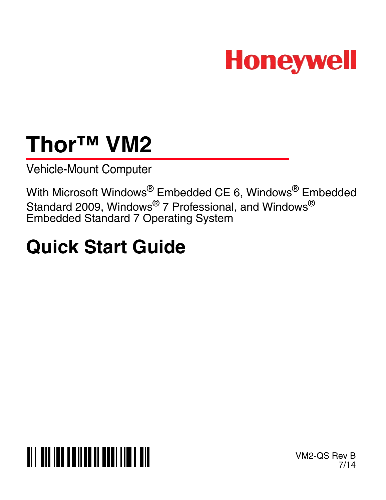

# **Thor™ VM2**

Vehicle-Mount Computer

With Microsoft Windows® Embedded CE 6, Windows® Embedded Standard 2009, Windows $^{\circledR}$  7 Professional, and Windows $^{\circledR}$ Embedded Standard 7 Operating System

# **Quick Start Guide**



VM2-QS Rev B 7/14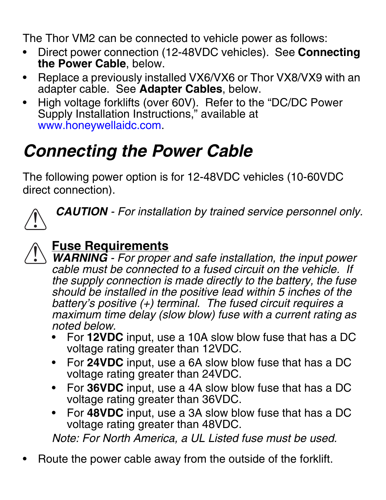The Thor VM2 can be connected to vehicle power as follows:

- Direct power connection (12-48VDC vehicles). See **Connecting the Power Cable**, below.
- Replace a previously installed VX6/VX6 or Thor VX8/VX9 with an adapter cable. See **Adapter Cables**, below.
- High voltage forklifts (over 60V). Refer to the "DC/DC Power Supply Installation Instructions," available at [www.honeywellaidc.com.](http://www.honeywellaidc.com)

## *Connecting the Power Cable*

The following power option is for 12-48VDC vehicles (10-60VDC direct connection).



*CAUTION - For installation by trained service personnel only.*

#### **Fuse Requirements** !

*WARNING - For proper and safe installation, the input power cable must be connected to a fused circuit on the vehicle. If the supply connection is made directly to the battery, the fuse should be installed in the positive lead within 5 inches of the battery's positive (+) terminal. The fused circuit requires a maximum time delay (slow blow) fuse with a current rating as noted below.*

- For **12VDC** input, use a 10A slow blow fuse that has a DC voltage rating greater than 12VDC.
- For **24VDC** input, use a 6A slow blow fuse that has a DC voltage rating greater than 24VDC.
- For **36VDC** input, use a 4A slow blow fuse that has a DC voltage rating greater than 36VDC.
- For **48VDC** input, use a 3A slow blow fuse that has a DC voltage rating greater than 48VDC.

*Note: For North America, a UL Listed fuse must be used.*

• Route the power cable away from the outside of the forklift.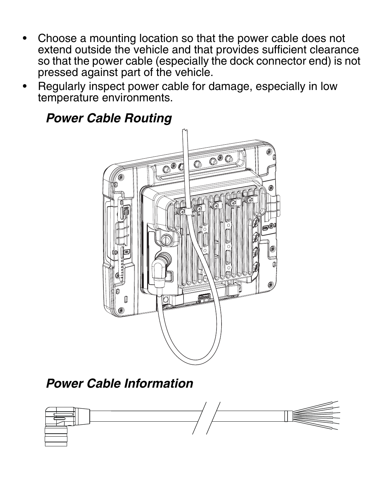- Choose a mounting location so that the power cable does not extend outside the vehicle and that provides sufficient clearance so that the power cable (especially the dock connector end) is not pressed against part of the vehicle.
- Regularly inspect power cable for damage, especially in low temperature environments.





### *Power Cable Information*

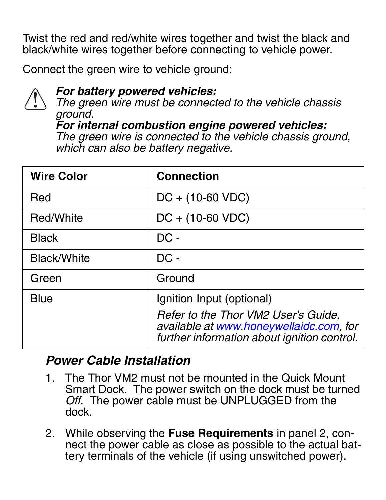Twist the red and red/white wires together and twist the black and black/white wires together before connecting to vehicle power.

Connect the green wire to vehicle ground:



### *For battery powered vehicles:*

*The green wire must be connected to the vehicle chassis ground.*

*For internal combustion engine powered vehicles: The green wire is connected to the vehicle chassis ground, which can also be battery negative.*

| <b>Wire Color</b> | <b>Connection</b>                                                                                                             |
|-------------------|-------------------------------------------------------------------------------------------------------------------------------|
| Red               | $DC + (10-60 VDC)$                                                                                                            |
| Red/White         | $DC + (10-60 VDC)$                                                                                                            |
| Black             | $DC -$                                                                                                                        |
| Black/White       | $DC -$                                                                                                                        |
| Green             | Ground                                                                                                                        |
| Blue              | Ignition Input (optional)                                                                                                     |
|                   | Refer to the Thor VM2 User's Guide,<br>available at www.honeywellaidc.com, for<br>further information about ignition control. |

### *Power Cable Installation*

- 1. The Thor VM2 must not be mounted in the Quick Mount Smart Dock. The power switch on the dock must be turned *Off*. The power cable must be UNPLUGGED from the dock.
- 2. While observing the **Fuse Requirements** in panel 2, connect the power cable as close as possible to the actual battery terminals of the vehicle (if using unswitched power).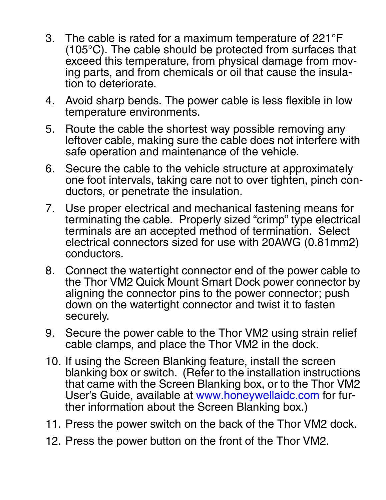- 3. The cable is rated for a maximum temperature of 221°F (105°C). The cable should be protected from surfaces that exceed this temperature, from physical damage from moving parts, and from chemicals or oil that cause the insulation to deteriorate.
- 4. Avoid sharp bends. The power cable is less flexible in low temperature environments.
- 5. Route the cable the shortest way possible removing any leftover cable, making sure the cable does not interfere with safe operation and maintenance of the vehicle.
- 6. Secure the cable to the vehicle structure at approximately one foot intervals, taking care not to over tighten, pinch conductors, or penetrate the insulation.
- 7. Use proper electrical and mechanical fastening means for terminating the cable. Properly sized "crimp" type electrical terminals are an accepted method of termination. Select electrical connectors sized for use with 20AWG (0.81mm2) conductors.
- 8. Connect the watertight connector end of the power cable to the Thor VM2 Quick Mount Smart Dock power connector by aligning the connector pins to the power connector; push down on the watertight connector and twist it to fasten securely.
- 9. Secure the power cable to the Thor VM2 using strain relief cable clamps, and place the Thor VM2 in the dock.
- 10. [If using the Screen Blanking feature, install the screen](http://www.honeywellaidc.com)  [blanking box or switch. \(Refer to the installation instructions](http://www.honeywellaidc.com)  that came with the Screen Blanking box, or to the Thor VM2 [User's Guide, available at w](http://www.honeywellaidc.com)ww.honeywellaidc.com for further information about the Screen Blanking box.)
- 11. Press the power switch on the back of the Thor VM2 dock.
- 12. Press the power button on the front of the Thor VM2.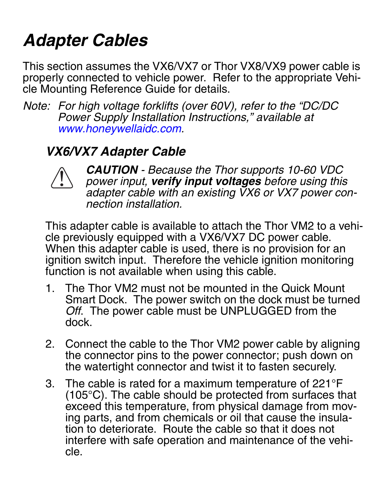## *Adapter Cables*

This section assumes the VX6/VX7 or Thor VX8/VX9 power cable is properly connected to vehicle power. Refer to the appropriate Vehicle Mounting Reference Guide for details.

*Note: [For high voltage forklifts \(over 60V\), refer to the "DC/DC](http://www.honeywellaidc.com)  [Power Supply Installation Instructions," available at](http://www.honeywellaidc.com)  [w](http://www.honeywellaidc.com)ww.honeywellaidc.com.*

## *VX6/VX7 Adapter Cable*



*CAUTION - Because the Thor supports 10-60 VDC power input, verify input voltages before using this adapter cable with an existing VX6 or VX7 power connection installation.*

This adapter cable is available to attach the Thor VM2 to a vehicle previously equipped with a VX6/VX7 DC power cable. When this adapter cable is used, there is no provision for an ignition switch input. Therefore the vehicle ignition monitoring function is not available when using this cable.

- 1. The Thor VM2 must not be mounted in the Quick Mount Smart Dock. The power switch on the dock must be turned *Off*. The power cable must be UNPLUGGED from the dock.
- 2. Connect the cable to the Thor VM2 power cable by aligning the connector pins to the power connector; push down on the watertight connector and twist it to fasten securely.
- 3. The cable is rated for a maximum temperature of 221°F (105°C). The cable should be protected from surfaces that exceed this temperature, from physical damage from moving parts, and from chemicals or oil that cause the insulation to deteriorate. Route the cable so that it does not interfere with safe operation and maintenance of the vehicle.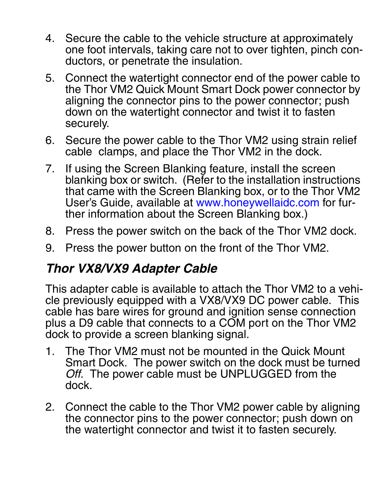- 4. Secure the cable to the vehicle structure at approximately one foot intervals, taking care not to over tighten, pinch conductors, or penetrate the insulation.
- 5. Connect the watertight connector end of the power cable to the Thor VM2 Quick Mount Smart Dock power connector by aligning the connector pins to the power connector; push down on the watertight connector and twist it to fasten securely.
- 6. Secure the power cable to the Thor VM2 using strain relief cable clamps, and place the Thor VM2 in the dock.
- 7. [If using the Screen Blanking feature, install the screen](http://www.honeywellaidc.com)  [blanking box or switch. \(Refer to the installation instructions](http://www.honeywellaidc.com)  that came with the Screen Blanking box, or to the Thor VM2 [User's Guide, available at w](http://www.honeywellaidc.com)ww.honeywellaidc.com for further information about the Screen Blanking box.)
- 8. Press the power switch on the back of the Thor VM2 dock.
- 9. Press the power button on the front of the Thor VM2.

### *Thor VX8/VX9 Adapter Cable*

This adapter cable is available to attach the Thor VM2 to a vehicle previously equipped with a VX8/VX9 DC power cable. This cable has bare wires for ground and ignition sense connection plus a D9 cable that connects to a COM port on the Thor VM2 dock to provide a screen blanking signal.

- 1. The Thor VM2 must not be mounted in the Quick Mount Smart Dock. The power switch on the dock must be turned *Off*. The power cable must be UNPLUGGED from the dock.
- 2. Connect the cable to the Thor VM2 power cable by aligning the connector pins to the power connector; push down on the watertight connector and twist it to fasten securely.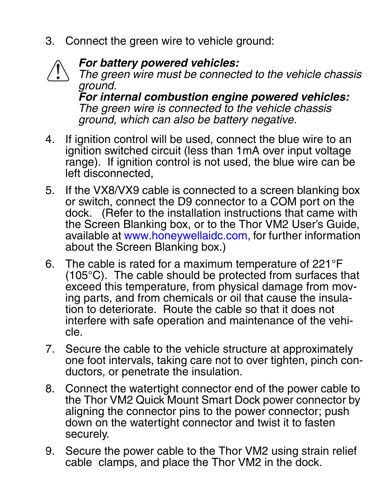3. Connect the green wire to vehicle ground:



#### *For battery powered vehicles:*

*The green wire must be connected to the vehicle chassis ground. For internal combustion engine powered vehicles: The green wire is connected to the vehicle chassis* 

4. If ignition control will be used, connect the blue wire to an *ground, which can also be battery negative.*

- ignition switched circuit (less than 1mA over input voltage range). If ignition control is not used, the blue wire can be left disconnected,
- 5. [If the VX8/VX9 cable is connected to a screen blanking box](http://www.honeywellaidc.com)  or switch, connect the D9 connector to a COM port on the [dock. \(Refer to the installation instructions that came with](http://www.honeywellaidc.com)  the Screen Blanking box, or to the Thor VM2 User's Guide, [available at](http://www.honeywellaidc.com) www.honeywellaidc.com, for further information about the Screen Blanking box.)
- 6. The cable is rated for a maximum temperature of 221°F (105°C). The cable should be protected from surfaces that exceed this temperature, from physical damage from moving parts, and from chemicals or oil that cause the insulation to deteriorate. Route the cable so that it does not interfere with safe operation and maintenance of the vehicle.
- 7. Secure the cable to the vehicle structure at approximately one foot intervals, taking care not to over tighten, pinch conductors, or penetrate the insulation.
- 8. Connect the watertight connector end of the power cable to the Thor VM2 Quick Mount Smart Dock power connector by aligning the connector pins to the power connector; push down on the watertight connector and twist it to fasten securely.
- 9. Secure the power cable to the Thor VM2 using strain relief cable clamps, and place the Thor VM2 in the dock.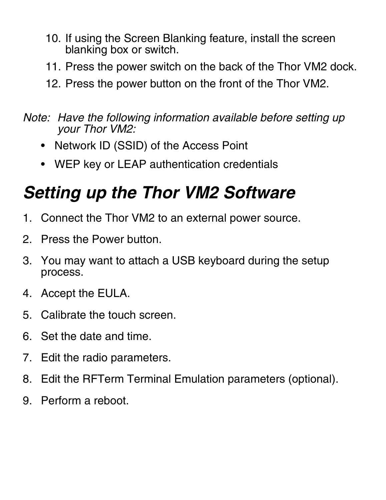- 10. If using the Screen Blanking feature, install the screen blanking box or switch.
- 11. Press the power switch on the back of the Thor VM2 dock.
- 12. Press the power button on the front of the Thor VM2.
- *Note: Have the following information available before setting up your Thor VM2:*
	- Network ID (SSID) of the Access Point
	- WEP key or LEAP authentication credentials

# *Setting up the Thor VM2 Software*

- 1. Connect the Thor VM2 to an external power source.
- 2. Press the Power button.
- 3. You may want to attach a USB keyboard during the setup process.
- 4. Accept the EULA.
- 5. Calibrate the touch screen.
- 6. Set the date and time.
- 7. Edit the radio parameters.
- 8. Edit the RFTerm Terminal Emulation parameters (optional).
- 9. Perform a reboot.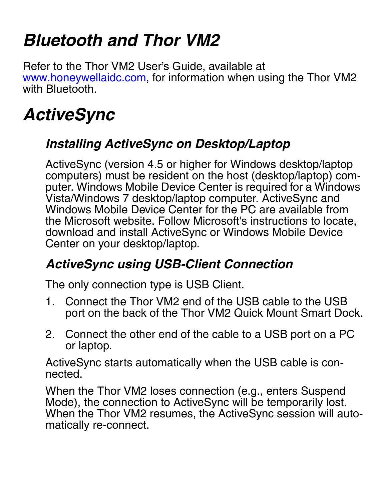## *Bluetooth and Thor VM2*

[Refer to the Thor VM2 User's Guide, available at](http://www.honeywellaidc.com)  www.honeywellaidc.com, for information when using the Thor VM2 with Bluetooth.

# *ActiveSync*

## *Installing ActiveSync on Desktop/Laptop*

ActiveSync (version 4.5 or higher for Windows desktop/laptop computers) must be resident on the host (desktop/laptop) computer. Windows Mobile Device Center is required for a Windows Vista/Windows 7 desktop/laptop computer. ActiveSync and Windows Mobile Device Center for the PC are available from the Microsoft website. Follow Microsoft's instructions to locate, download and install ActiveSync or Windows Mobile Device Center on your desktop/laptop.

## *ActiveSync using USB-Client Connection*

The only connection type is USB Client.

- 1. Connect the Thor VM2 end of the USB cable to the USB port on the back of the Thor VM2 Quick Mount Smart Dock.
- 2. Connect the other end of the cable to a USB port on a PC or laptop.

ActiveSync starts automatically when the USB cable is connected.

When the Thor VM2 loses connection (e.g., enters Suspend Mode), the connection to ActiveSync will be temporarily lost. When the Thor VM2 resumes, the ActiveSync session will automatically re-connect.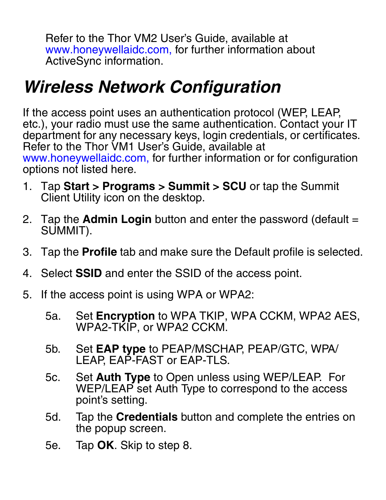[Refer to the Thor VM2 User's Guide, available at](http://www.honeywellaidc.com)  www.honeywellaidc.com, for further information about ActiveSync information.

## *Wireless Network Configuration*

If the access point uses an authentication protocol (WEP, LEAP, etc.), your radio must use the same authentication. Contact your IT [department for any necessary keys, login credentials, or certificates.](http://www.honeywellaidc.com)  Refer to the Thor VM1 User's Guide, available at www.honeywellaidc.com, for further information or for configuration options not listed here.

- 1. Tap **Start > Programs > Summit > SCU** or tap the Summit Client Utility icon on the desktop.
- 2. Tap the **Admin Login** button and enter the password (default = SUMMIT).
- 3. Tap the **Profile** tab and make sure the Default profile is selected.
- 4. Select **SSID** and enter the SSID of the access point.
- 5. If the access point is using WPA or WPA2:
	- 5a. Set **Encryption** to WPA TKIP, WPA CCKM, WPA2 AES, WPA2-TKIP, or WPA2 CCKM.
	- 5b. Set **EAP type** to PEAP/MSCHAP, PEAP/GTC, WPA/ LEAP, EAP-FAST or EAP-TLS.
	- 5c. Set **Auth Type** to Open unless using WEP/LEAP. For WEP/LEAP set Auth Type to correspond to the access point's setting.
	- 5d. Tap the **Credentials** button and complete the entries on the popup screen.
	- 5e. Tap **OK**. Skip to step [8.](#page-11-0)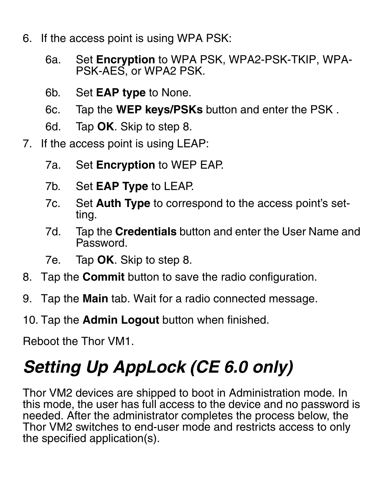- 6. If the access point is using WPA PSK:
	- 6a. Set **Encryption** to WPA PSK, WPA2-PSK-TKIP, WPA-PSK-AES, or WPA2 PSK.
	- 6b. Set **EAP type** to None.
	- 6c. Tap the **WEP keys/PSKs** button and enter the PSK .
	- 6d. Tap **OK**. Skip to step [8.](#page-11-0)
- 7. If the access point is using LEAP:
	- 7a. Set **Encryption** to WEP EAP.
	- 7b. Set **EAP Type** to LEAP.
	- 7c. Set **Auth Type** to correspond to the access point's setting.
	- 7d. Tap the **Credentials** button and enter the User Name and Password.
	- 7e. Tap **OK**. Skip to step [8.](#page-11-0)
- <span id="page-11-0"></span>8. Tap the **Commit** button to save the radio configuration.
- 9. Tap the **Main** tab. Wait for a radio connected message.
- 10. Tap the **Admin Logout** button when finished.

Reboot the Thor VM1.

# *Setting Up AppLock (CE 6.0 only)*

Thor VM2 devices are shipped to boot in Administration mode. In this mode, the user has full access to the device and no password is needed. After the administrator completes the process below, the Thor VM2 switches to end-user mode and restricts access to only the specified application(s).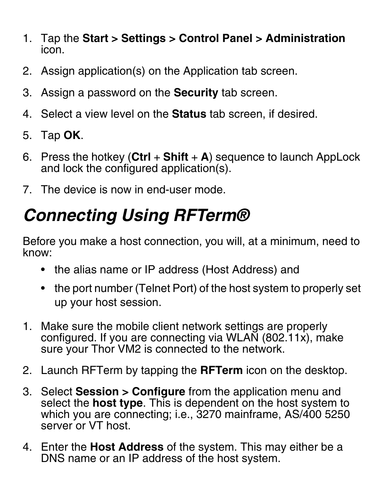- 1. Tap the **Start > Settings > Control Panel > Administration**  icon.
- 2. Assign application(s) on the Application tab screen.
- 3. Assign a password on the **Security** tab screen.
- 4. Select a view level on the **Status** tab screen, if desired.
- 5. Tap **OK**.
- 6. Press the hotkey (**Ctrl** + **Shift** + **A**) sequence to launch AppLock and lock the configured application(s).
- 7. The device is now in end-user mode.

# *Connecting Using RFTerm®*

Before you make a host connection, you will, at a minimum, need to know:

- the alias name or IP address (Host Address) and
- the port number (Telnet Port) of the host system to properly set up your host session.
- 1. Make sure the mobile client network settings are properly configured. If you are connecting via WLAN (802.11x), make sure your Thor VM2 is connected to the network.
- 2. Launch RFTerm by tapping the **RFTerm** icon on the desktop.
- 3. Select **Session > Configure** from the application menu and select the **host type**. This is dependent on the host system to which you are connecting; i.e., 3270 mainframe, AS/400 5250 server or VT host.
- 4. Enter the **Host Address** of the system. This may either be a DNS name or an IP address of the host system.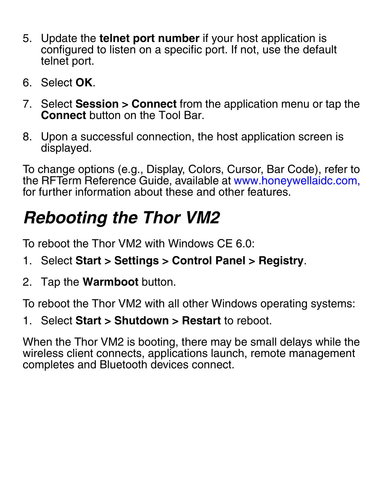- 5. Update the **telnet port number** if your host application is configured to listen on a specific port. If not, use the default telnet port.
- 6. Select **OK**.
- 7. Select **Session > Connect** from the application menu or tap the **Connect** button on the Tool Bar.
- 8. Upon a successful connection, the host application screen is displayed.

[To change options \(e.g., Display, Colors, Cursor, Bar Code\), refer to](http://www.honeywellaidc.com)  [the RFTerm Reference Guide, available at w](http://www.honeywellaidc.com)ww.honeywellaidc.com, for further information about these and other features.

# *Rebooting the Thor VM2*

To reboot the Thor VM2 with Windows CE 6.0:

- 1. Select **Start > Settings > Control Panel > Registry**.
- 2. Tap the **Warmboot** button.

To reboot the Thor VM2 with all other Windows operating systems:

1. Select **Start > Shutdown > Restart** to reboot.

When the Thor VM2 is booting, there may be small delays while the wireless client connects, applications launch, remote management completes and Bluetooth devices connect.